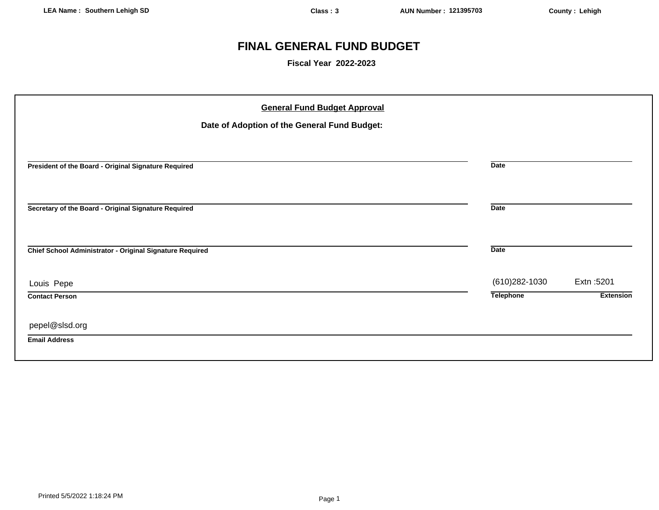# **FINAL GENERAL FUND BUDGET**

**Fiscal Year 2022-2023**

| <b>General Fund Budget Approval</b><br>Date of Adoption of the General Fund Budget: |                  |                                |
|-------------------------------------------------------------------------------------|------------------|--------------------------------|
| President of the Board - Original Signature Required                                | <b>Date</b>      |                                |
| Secretary of the Board - Original Signature Required                                | <b>Date</b>      |                                |
| Chief School Administrator - Original Signature Required                            | <b>Date</b>      |                                |
| Louis Pepe                                                                          | (610) 282-1030   | Extn: 5201<br><b>Extension</b> |
| <b>Contact Person</b>                                                               | <b>Telephone</b> |                                |
| pepel@slsd.org<br><b>Email Address</b>                                              |                  |                                |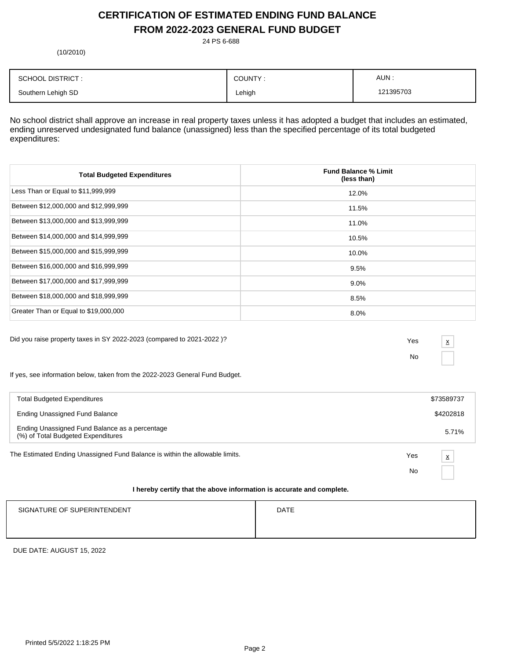# **CERTIFICATION OF ESTIMATED ENDING FUND BALANCE FROM 2022-2023 GENERAL FUND BUDGET**

24 PS 6-688

(10/2010)

| <b>SCHOOL DISTRICT:</b> | COUNTY: | AUN:      |
|-------------------------|---------|-----------|
| Southern Lehigh SD      | Lehigh  | 121395703 |

No school district shall approve an increase in real property taxes unless it has adopted a budget that includes an estimated, ending unreserved undesignated fund balance (unassigned) less than the specified percentage of its total budgeted expenditures:

| <b>Total Budgeted Expenditures</b>    | <b>Fund Balance % Limit</b><br>(less than) |
|---------------------------------------|--------------------------------------------|
| Less Than or Equal to \$11,999,999    | 12.0%                                      |
| Between \$12,000,000 and \$12,999,999 | 11.5%                                      |
| Between \$13,000,000 and \$13,999,999 | 11.0%                                      |
| Between \$14,000,000 and \$14,999,999 | 10.5%                                      |
| Between \$15,000,000 and \$15,999,999 | 10.0%                                      |
| Between \$16,000,000 and \$16,999,999 | 9.5%                                       |
| Between \$17,000,000 and \$17,999,999 | $9.0\%$                                    |
| Between \$18,000,000 and \$18,999,999 | 8.5%                                       |
| Greater Than or Equal to \$19,000,000 | 8.0%                                       |

Did you raise property taxes in SY 2022-2023 (compared to 2021-2022 )? Yes

No

x

If yes, see information below, taken from the 2022-2023 General Fund Budget.

| <b>Total Budgeted Expenditures</b>                                                   |     | \$73589737               |
|--------------------------------------------------------------------------------------|-----|--------------------------|
| Ending Unassigned Fund Balance                                                       |     | \$4202818                |
| Ending Unassigned Fund Balance as a percentage<br>(%) of Total Budgeted Expenditures |     | 5.71%                    |
| The Estimated Ending Unassigned Fund Balance is within the allowable limits.         | Yes | $\underline{\mathsf{x}}$ |
|                                                                                      | No  |                          |
| I hereby certify that the above information is accurate and complete.                |     |                          |

# SIGNATURE OF SUPERINTENDENT **EXAMPLE 20** ON THE SIGNATURE OF SUPERINTENDENT

DUE DATE: AUGUST 15, 2022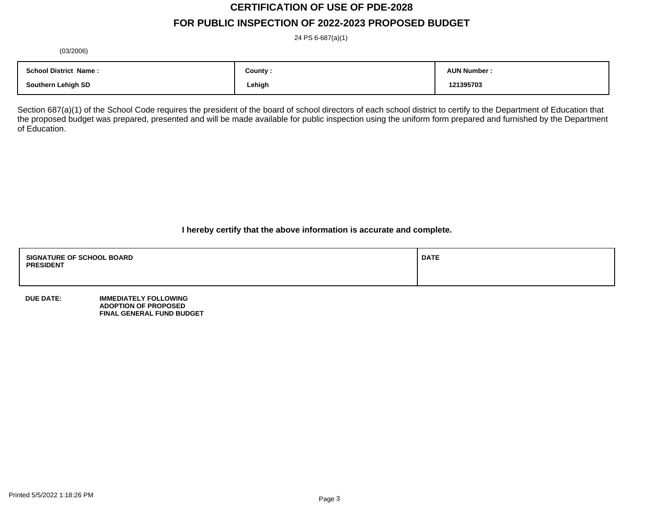# **CERTIFICATION OF USE OF PDE-2028**

# **FOR PUBLIC INSPECTION OF 2022-2023 PROPOSED BUDGET**

24 PS 6-687(a)(1)

(03/2006)

| <b>School District Name:</b> | County : | <b>AUN Number</b> |
|------------------------------|----------|-------------------|
| <b>Southern Lehigh SD</b>    | Lehigh   | 121395703         |

Section 687(a)(1) of the School Code requires the president of the board of school directors of each school district to certify to the Department of Education that the proposed budget was prepared, presented and will be made available for public inspection using the uniform form prepared and furnished by the Department of Education.

**I hereby certify that the above information is accurate and complete.**

| <b>SIGNATURE OF SCHOOL BOARD</b><br><b>PRESIDENT</b> | <b>DATE</b> |
|------------------------------------------------------|-------------|
|                                                      |             |

**DUE DATE: IMMEDIATELY FOLLOWING ADOPTION OF PROPOSED FINAL GENERAL FUND BUDGET**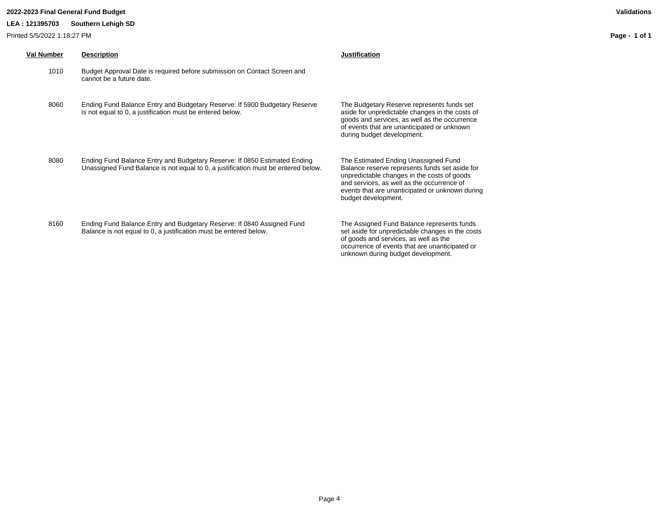## **2022-2023 Final General Fund Budget Validations**

## **LEA : 121395703 Southern Lehigh SD**

Printed 5/5/2022 1:18:27 PM

| Val Number | <b>Description</b>                                                                                                                                             | <b>Justification</b>                                                                                                                                                                                                                                          |
|------------|----------------------------------------------------------------------------------------------------------------------------------------------------------------|---------------------------------------------------------------------------------------------------------------------------------------------------------------------------------------------------------------------------------------------------------------|
| 1010       | Budget Approval Date is required before submission on Contact Screen and<br>cannot be a future date.                                                           |                                                                                                                                                                                                                                                               |
| 8060       | Ending Fund Balance Entry and Budgetary Reserve: If 5900 Budgetary Reserve<br>is not equal to 0, a justification must be entered below.                        | The Budgetary Reserve represents funds set<br>aside for unpredictable changes in the costs of<br>goods and services, as well as the occurrence<br>of events that are unanticipated or unknown<br>during budget development.                                   |
| 8080       | Ending Fund Balance Entry and Budgetary Reserve: If 0850 Estimated Ending<br>Unassigned Fund Balance is not equal to 0, a justification must be entered below. | The Estimated Ending Unassigned Fund<br>Balance reserve represents funds set aside for<br>unpredictable changes in the costs of goods<br>and services, as well as the occurrence of<br>events that are unanticipated or unknown during<br>budget development. |
| 8160       | Ending Fund Balance Entry and Budgetary Reserve: If 0840 Assigned Fund<br>Balance is not equal to 0, a justification must be entered below.                    | The Assigned Fund Balance represents funds<br>set aside for unpredictable changes in the costs<br>of goods and services, as well as the<br>occurrence of events that are unanticipated or                                                                     |

**Page - 1 of 1**

unknown during budget development.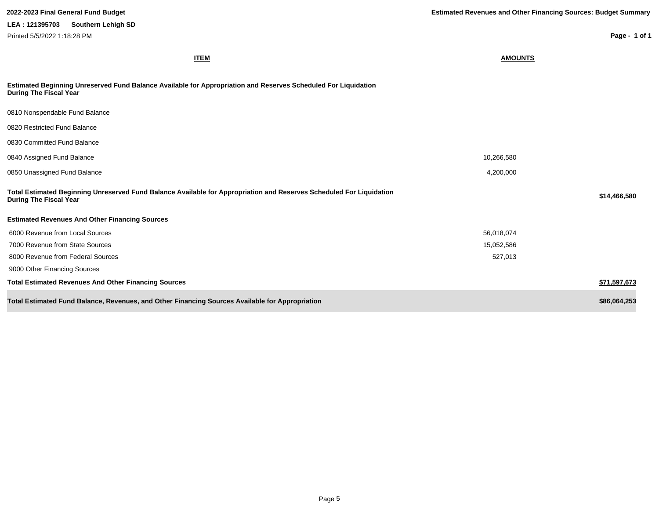**Page - 1 of 1**

**ITEM AMOUNTS**

| Estimated Beginning Unreserved Fund Balance Available for Appropriation and Reserves Scheduled For Liquidation |  |
|----------------------------------------------------------------------------------------------------------------|--|
| During The Fiscal Year                                                                                         |  |

| 0810 Nonspendable Fund Balance                                                                                                                        |            |              |
|-------------------------------------------------------------------------------------------------------------------------------------------------------|------------|--------------|
| 0820 Restricted Fund Balance                                                                                                                          |            |              |
| 0830 Committed Fund Balance                                                                                                                           |            |              |
| 0840 Assigned Fund Balance                                                                                                                            | 10,266,580 |              |
| 0850 Unassigned Fund Balance                                                                                                                          | 4,200,000  |              |
| Total Estimated Beginning Unreserved Fund Balance Available for Appropriation and Reserves Scheduled For Liquidation<br><b>During The Fiscal Year</b> |            | \$14,466,580 |
| <b>Estimated Revenues And Other Financing Sources</b>                                                                                                 |            |              |
| 6000 Revenue from Local Sources                                                                                                                       | 56,018,074 |              |
| 7000 Revenue from State Sources                                                                                                                       | 15,052,586 |              |
| 8000 Revenue from Federal Sources                                                                                                                     | 527,013    |              |
| 9000 Other Financing Sources                                                                                                                          |            |              |
| <b>Total Estimated Revenues And Other Financing Sources</b>                                                                                           |            | \$71,597,673 |
| Total Estimated Fund Balance, Revenues, and Other Financing Sources Available for Appropriation                                                       |            | \$86,064,253 |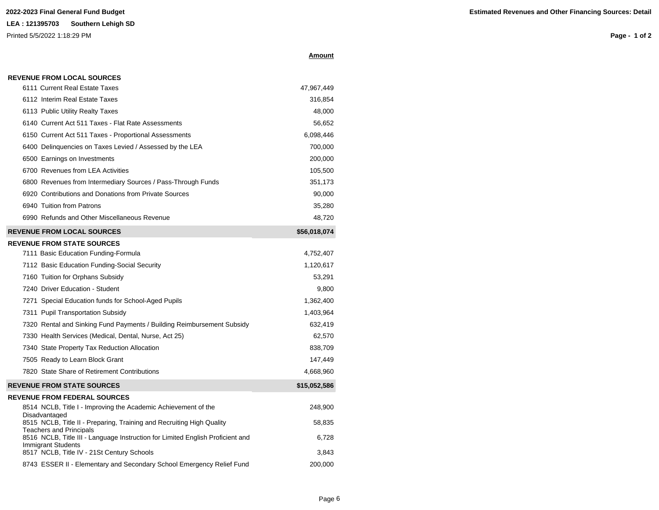**REVENUE FROM LOCAL SOURCES**

Printed 5/5/2022 1:18:29 PM

| Amount |
|--------|
|        |

| 6111 Current Real Estate Taxes                                                                                   | 47,967,449   |
|------------------------------------------------------------------------------------------------------------------|--------------|
| 6112 Interim Real Estate Taxes                                                                                   | 316,854      |
| 6113 Public Utility Realty Taxes                                                                                 | 48,000       |
| 6140 Current Act 511 Taxes - Flat Rate Assessments                                                               | 56,652       |
| 6150 Current Act 511 Taxes - Proportional Assessments                                                            | 6,098,446    |
| 6400 Delinguencies on Taxes Levied / Assessed by the LEA                                                         | 700,000      |
| 6500 Earnings on Investments                                                                                     | 200,000      |
| 6700 Revenues from LEA Activities                                                                                | 105,500      |
| 6800 Revenues from Intermediary Sources / Pass-Through Funds                                                     | 351,173      |
| 6920 Contributions and Donations from Private Sources                                                            | 90,000       |
| 6940 Tuition from Patrons                                                                                        | 35,280       |
| 6990 Refunds and Other Miscellaneous Revenue                                                                     | 48,720       |
| <b>REVENUE FROM LOCAL SOURCES</b>                                                                                | \$56,018,074 |
| <b>REVENUE FROM STATE SOURCES</b>                                                                                |              |
| 7111 Basic Education Funding-Formula                                                                             | 4,752,407    |
| 7112 Basic Education Funding-Social Security                                                                     | 1,120,617    |
| 7160 Tuition for Orphans Subsidy                                                                                 | 53,291       |
| 7240 Driver Education - Student                                                                                  | 9,800        |
| 7271 Special Education funds for School-Aged Pupils                                                              | 1,362,400    |
| 7311 Pupil Transportation Subsidy                                                                                | 1,403,964    |
| 7320 Rental and Sinking Fund Payments / Building Reimbursement Subsidy                                           | 632,419      |
| 7330 Health Services (Medical, Dental, Nurse, Act 25)                                                            | 62,570       |
| 7340 State Property Tax Reduction Allocation                                                                     | 838,709      |
| 7505 Ready to Learn Block Grant                                                                                  | 147,449      |
| 7820 State Share of Retirement Contributions                                                                     | 4,668,960    |
| <b>REVENUE FROM STATE SOURCES</b>                                                                                | \$15,052,586 |
| <b>REVENUE FROM FEDERAL SOURCES</b>                                                                              |              |
| 8514 NCLB, Title I - Improving the Academic Achievement of the                                                   | 248,900      |
| Disadvantaged<br>8515 NCLB, Title II - Preparing, Training and Recruiting High Quality                           | 58,835       |
| <b>Teachers and Principals</b><br>8516 NCLB, Title III - Language Instruction for Limited English Proficient and | 6,728        |
| <b>Immigrant Students</b>                                                                                        |              |
| 8517 NCLB, Title IV - 21St Century Schools                                                                       | 3,843        |
| 8743 ESSER II - Elementary and Secondary School Emergency Relief Fund                                            | 200,000      |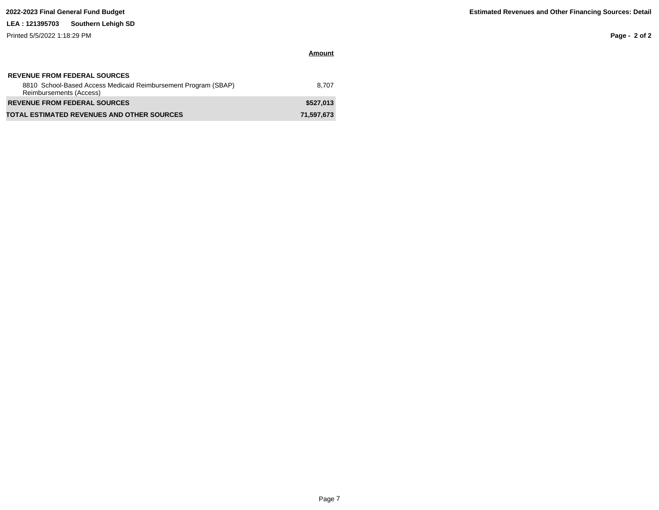Printed 5/5/2022 1:18:29 PM

**Page - 2 of 2**

| <b>REVENUE FROM FEDERAL SOURCES</b><br>8810 School-Based Access Medicaid Reimbursement Program (SBAP)<br>Reimbursements (Access) | 8.707      |
|----------------------------------------------------------------------------------------------------------------------------------|------------|
| <b>REVENUE FROM FEDERAL SOURCES</b>                                                                                              | \$527.013  |
| <b>TOTAL ESTIMATED REVENUES AND OTHER SOURCES</b>                                                                                | 71,597,673 |

**Amount**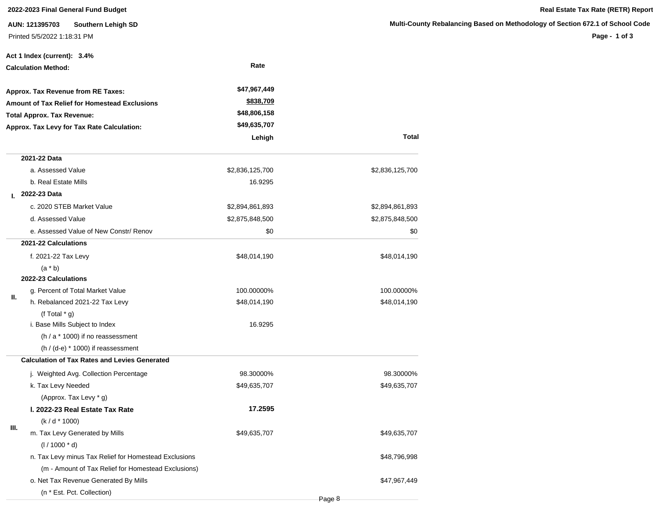## **2022-2023 Final General Fund Budget Real Estate Tax Rate (RETR) Report**

**AUN: 121395703 Southern Lehigh SD** Printed 5/5/2022 1:18:31 PM

|                            | Act 1 Index (current): 3.4%                           |                 |                 |
|----------------------------|-------------------------------------------------------|-----------------|-----------------|
| <b>Calculation Method:</b> |                                                       | Rate            |                 |
|                            | Approx. Tax Revenue from RE Taxes:                    | \$47,967,449    |                 |
|                            | Amount of Tax Relief for Homestead Exclusions         | \$838,709       |                 |
|                            | <b>Total Approx. Tax Revenue:</b>                     | \$48,806,158    |                 |
|                            | Approx. Tax Levy for Tax Rate Calculation:            | \$49,635,707    |                 |
|                            |                                                       | Lehigh          | <b>Total</b>    |
|                            | 2021-22 Data                                          |                 |                 |
|                            | a. Assessed Value                                     | \$2,836,125,700 | \$2,836,125,700 |
|                            | b. Real Estate Mills                                  | 16.9295         |                 |
| L.                         | 2022-23 Data                                          |                 |                 |
|                            | c. 2020 STEB Market Value                             | \$2,894,861,893 | \$2,894,861,893 |
|                            | d. Assessed Value                                     | \$2,875,848,500 | \$2,875,848,500 |
|                            | e. Assessed Value of New Constr/ Renov                | \$0             | \$0             |
|                            | 2021-22 Calculations                                  |                 |                 |
|                            | f. 2021-22 Tax Levy                                   | \$48,014,190    | \$48,014,190    |
|                            | $(a * b)$                                             |                 |                 |
|                            | 2022-23 Calculations                                  |                 |                 |
| II.                        | g. Percent of Total Market Value                      | 100.00000%      | 100.00000%      |
|                            | h. Rebalanced 2021-22 Tax Levy                        | \$48,014,190    | \$48,014,190    |
|                            | (f Total $*$ g)                                       |                 |                 |
|                            | i. Base Mills Subject to Index                        | 16.9295         |                 |
|                            | $(h / a * 1000)$ if no reassessment                   |                 |                 |
|                            | $(h / (d-e) * 1000)$ if reassessment                  |                 |                 |
|                            | <b>Calculation of Tax Rates and Levies Generated</b>  |                 |                 |
|                            | j. Weighted Avg. Collection Percentage                | 98.30000%       | 98.30000%       |
|                            | k. Tax Levy Needed                                    | \$49,635,707    | \$49,635,707    |
|                            | (Approx. Tax Levy * g)                                |                 |                 |
|                            | I. 2022-23 Real Estate Tax Rate                       | 17.2595         |                 |
| Ш.                         | $(k/d * 1000)$                                        |                 |                 |
|                            | m. Tax Levy Generated by Mills                        | \$49,635,707    | \$49,635,707    |
|                            | $(1/1000 * d)$                                        |                 |                 |
|                            | n. Tax Levy minus Tax Relief for Homestead Exclusions |                 | \$48,796,998    |
|                            | (m - Amount of Tax Relief for Homestead Exclusions)   |                 |                 |
|                            | o. Net Tax Revenue Generated By Mills                 |                 | \$47,967,449    |
|                            | (n * Est. Pct. Collection)                            |                 |                 |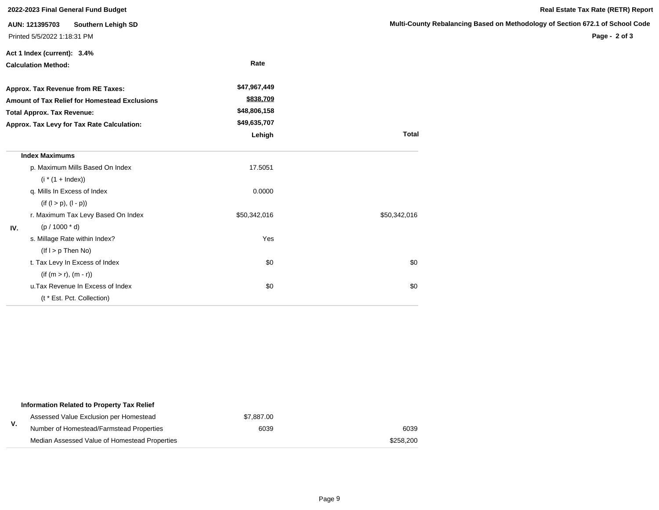|                                                                                                                                                                               | 2022-2023 Final General Fund Budget                                 |                                                           |                       |
|-------------------------------------------------------------------------------------------------------------------------------------------------------------------------------|---------------------------------------------------------------------|-----------------------------------------------------------|-----------------------|
|                                                                                                                                                                               | AUN: 121395703<br>Southern Lehigh SD<br>Printed 5/5/2022 1:18:31 PM |                                                           | <b>Multi-County I</b> |
|                                                                                                                                                                               | Act 1 Index (current): 3.4%<br><b>Calculation Method:</b>           | Rate                                                      |                       |
| Approx. Tax Revenue from RE Taxes:<br><b>Amount of Tax Relief for Homestead Exclusions</b><br><b>Total Approx. Tax Revenue:</b><br>Approx. Tax Levy for Tax Rate Calculation: |                                                                     | \$47,967,449<br>\$838,709<br>\$48,806,158<br>\$49,635,707 |                       |
|                                                                                                                                                                               |                                                                     | Lehigh                                                    | <b>Total</b>          |
|                                                                                                                                                                               | <b>Index Maximums</b>                                               |                                                           |                       |
|                                                                                                                                                                               | p. Maximum Mills Based On Index<br>$(i * (1 + Index))$              | 17.5051                                                   |                       |
|                                                                                                                                                                               | q. Mills In Excess of Index<br>$(if (l > p), (l - p))$              | 0.0000                                                    |                       |
| IV.                                                                                                                                                                           | r. Maximum Tax Levy Based On Index<br>$(p / 1000 * d)$              | \$50,342,016                                              | \$50,342,016          |
|                                                                                                                                                                               | s. Millage Rate within Index?<br>$($ lf $I > p$ Then No $)$         | Yes                                                       |                       |
|                                                                                                                                                                               | t. Tax Levy In Excess of Index<br>$(if (m > r), (m - r))$           | \$0                                                       | \$0                   |
|                                                                                                                                                                               | u. Tax Revenue In Excess of Index<br>(t * Est. Pct. Collection)     | \$0                                                       | \$0                   |

|    | Information Related to Property Tax Relief    |            |           |
|----|-----------------------------------------------|------------|-----------|
|    | Assessed Value Exclusion per Homestead        | \$7,887.00 |           |
| v. | Number of Homestead/Farmstead Properties      | 6039       | 6039      |
|    | Median Assessed Value of Homestead Properties |            | \$258,200 |

## **Rebalancing Based on Methodology of Section 672.1 of School Code**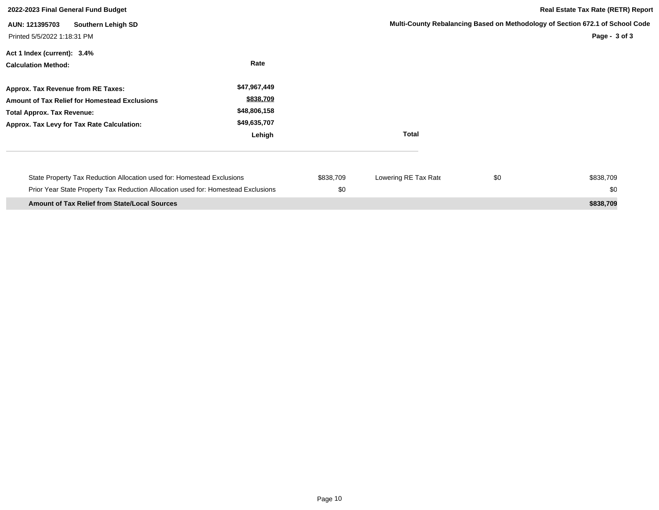| 2022-2023 Final General Fund Budget                                                                                                                                    |                                                                     |                  |                      |     | <b>Real Estate Tax Rate (RETR) Report</b>                                                      |
|------------------------------------------------------------------------------------------------------------------------------------------------------------------------|---------------------------------------------------------------------|------------------|----------------------|-----|------------------------------------------------------------------------------------------------|
| AUN: 121395703<br>Southern Lehigh SD<br>Printed 5/5/2022 1:18:31 PM                                                                                                    |                                                                     |                  |                      |     | Multi-County Rebalancing Based on Methodology of Section 672.1 of School Code<br>Page - 3 of 3 |
| Act 1 Index (current): 3.4%<br><b>Calculation Method:</b>                                                                                                              | Rate                                                                |                  |                      |     |                                                                                                |
| Approx. Tax Revenue from RE Taxes:<br>Amount of Tax Relief for Homestead Exclusions<br><b>Total Approx. Tax Revenue:</b><br>Approx. Tax Levy for Tax Rate Calculation: | \$47,967,449<br>\$838,709<br>\$48,806,158<br>\$49,635,707<br>Lehigh |                  | <b>Total</b>         |     |                                                                                                |
| State Property Tax Reduction Allocation used for: Homestead Exclusions<br>Prior Year State Property Tax Reduction Allocation used for: Homestead Exclusions            |                                                                     | \$838,709<br>\$0 | Lowering RE Tax Rate | \$0 | \$838,709<br>\$0                                                                               |
| <b>Amount of Tax Relief from State/Local Sources</b>                                                                                                                   |                                                                     |                  |                      |     | \$838,709                                                                                      |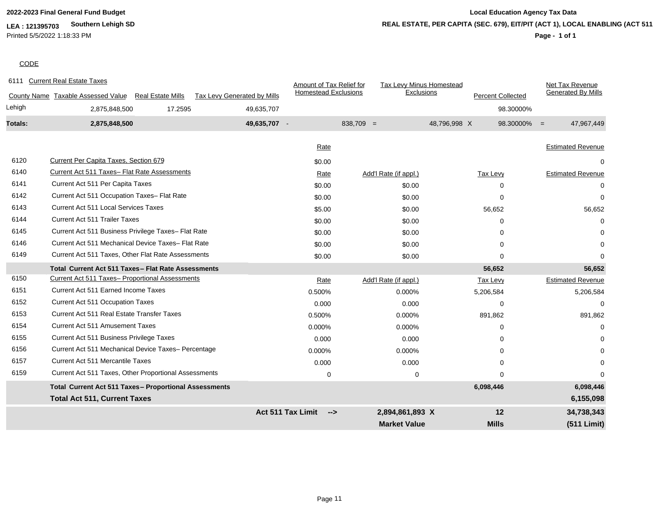**LEA : 121395703 Southern Lehigh SD** Printed 5/5/2022 1:18:33 PM

# **2022-2023 Final General Fund Budget Local Education Agency Tax Data REAL ESTATE, PER CAPITA (SEC. 679), EIT/PIT (ACT 1), LOCAL ENABLING (ACT 511)**

## **Page - 1 of 1**

## **CODE**

| 6111    | <b>Current Real Estate Taxes</b>                      |                          |                             | Amount of Tax Relief for                  |             | <b>Tax Levy Minus Homestead</b> |              |                          | Net Tax Revenue           |
|---------|-------------------------------------------------------|--------------------------|-----------------------------|-------------------------------------------|-------------|---------------------------------|--------------|--------------------------|---------------------------|
|         | County Name Taxable Assessed Value                    | <b>Real Estate Mills</b> | Tax Levy Generated by Mills | <b>Homestead Exclusions</b>               |             | Exclusions                      |              | <b>Percent Collected</b> | <b>Generated By Mills</b> |
| Lehigh  | 2,875,848,500                                         | 17.2595                  | 49,635,707                  |                                           |             |                                 |              | 98.30000%                |                           |
| Totals: | 2,875,848,500                                         |                          | 49,635,707 -                |                                           | $838,709 =$ |                                 | 48,796,998 X | $98.30000\% =$           | 47,967,449                |
|         |                                                       |                          |                             | Rate                                      |             |                                 |              |                          | <b>Estimated Revenue</b>  |
|         |                                                       |                          |                             |                                           |             |                                 |              |                          |                           |
| 6120    | <b>Current Per Capita Taxes, Section 679</b>          |                          |                             | \$0.00                                    |             |                                 |              |                          | 0                         |
| 6140    | Current Act 511 Taxes- Flat Rate Assessments          |                          |                             | Rate                                      |             | Add'l Rate (if appl.)           |              | Tax Levy                 | <b>Estimated Revenue</b>  |
| 6141    | Current Act 511 Per Capita Taxes                      |                          |                             | \$0.00                                    |             | \$0.00                          |              | $\Omega$                 |                           |
| 6142    | Current Act 511 Occupation Taxes- Flat Rate           |                          |                             | \$0.00                                    |             | \$0.00                          |              | $\Omega$                 | 0                         |
| 6143    | <b>Current Act 511 Local Services Taxes</b>           |                          |                             | \$5.00                                    |             | \$0.00                          |              | 56,652                   | 56,652                    |
| 6144    | <b>Current Act 511 Trailer Taxes</b>                  |                          |                             | \$0.00                                    |             | \$0.00                          |              | $\Omega$                 | $\Omega$                  |
| 6145    | Current Act 511 Business Privilege Taxes- Flat Rate   |                          |                             | \$0.00                                    |             | \$0.00                          |              | $\Omega$                 | $\Omega$                  |
| 6146    | Current Act 511 Mechanical Device Taxes- Flat Rate    |                          |                             | \$0.00                                    |             | \$0.00                          |              | $\Omega$                 | $\Omega$                  |
| 6149    | Current Act 511 Taxes, Other Flat Rate Assessments    |                          |                             | \$0.00                                    |             | \$0.00                          |              | $\Omega$                 | $\Omega$                  |
|         | Total Current Act 511 Taxes - Flat Rate Assessments   |                          |                             |                                           |             |                                 |              | 56,652                   | 56,652                    |
| 6150    | Current Act 511 Taxes- Proportional Assessments       |                          |                             | Rate                                      |             | Add'l Rate (if appl.)           |              | Tax Levy                 | <b>Estimated Revenue</b>  |
| 6151    | Current Act 511 Earned Income Taxes                   |                          |                             | 0.500%                                    |             | 0.000%                          |              | 5,206,584                | 5,206,584                 |
| 6152    | Current Act 511 Occupation Taxes                      |                          |                             | 0.000                                     |             | 0.000                           |              | 0                        | $\mathbf 0$               |
| 6153    | Current Act 511 Real Estate Transfer Taxes            |                          |                             | 0.500%                                    |             | 0.000%                          |              | 891,862                  | 891,862                   |
| 6154    | <b>Current Act 511 Amusement Taxes</b>                |                          |                             | 0.000%                                    |             | 0.000%                          |              | $\Omega$                 | $\Omega$                  |
| 6155    | Current Act 511 Business Privilege Taxes              |                          |                             | 0.000                                     |             | 0.000                           |              | $\Omega$                 |                           |
| 6156    | Current Act 511 Mechanical Device Taxes- Percentage   |                          |                             | 0.000%                                    |             | 0.000%                          |              | $\Omega$                 |                           |
| 6157    | Current Act 511 Mercantile Taxes                      |                          |                             | 0.000                                     |             | 0.000                           |              | 0                        | $\Omega$                  |
| 6159    | Current Act 511 Taxes, Other Proportional Assessments |                          |                             | 0                                         |             | $\mathbf 0$                     |              | $\Omega$                 | $\Omega$                  |
|         | Total Current Act 511 Taxes- Proportional Assessments |                          |                             |                                           |             |                                 |              | 6,098,446                | 6,098,446                 |
|         | <b>Total Act 511, Current Taxes</b>                   |                          |                             |                                           |             |                                 |              |                          | 6,155,098                 |
|         |                                                       |                          |                             | <b>Act 511 Tax Limit</b><br>$\rightarrow$ |             | 2,894,861,893 X                 |              | 12                       | 34,738,343                |
|         |                                                       |                          |                             |                                           |             | <b>Market Value</b>             |              | <b>Mills</b>             | (511 Limit)               |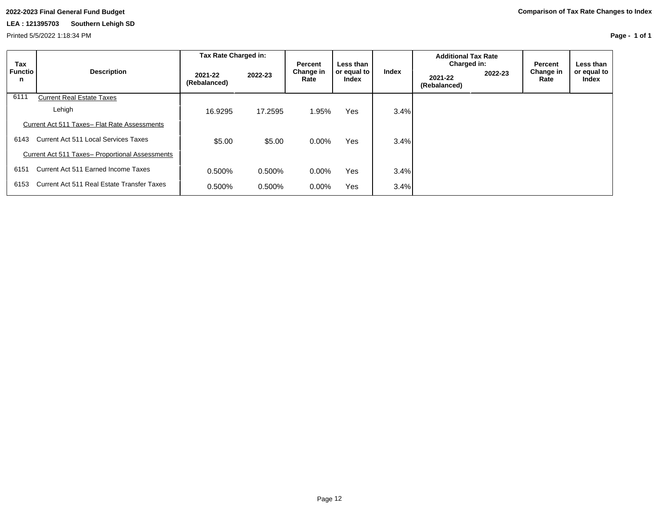Printed 5/5/2022 1:18:34 PM

| Tax                 |                                                 | Tax Rate Charged in:    |           | Percent           | Less than            |       | <b>Additional Tax Rate</b><br>Charged in: |         | Percent           | Less than            |
|---------------------|-------------------------------------------------|-------------------------|-----------|-------------------|----------------------|-------|-------------------------------------------|---------|-------------------|----------------------|
| <b>Functio</b><br>n | <b>Description</b>                              | 2021-22<br>(Rebalanced) | 2022-23   | Change in<br>Rate | or equal to<br>Index | Index | 2021-22<br>(Rebalanced)                   | 2022-23 | Change in<br>Rate | or equal to<br>Index |
| 6111                | <b>Current Real Estate Taxes</b>                |                         |           |                   |                      |       |                                           |         |                   |                      |
|                     | Lehigh                                          | 16.9295                 | 17.2595   | 1.95%             | <b>Yes</b>           | 3.4%  |                                           |         |                   |                      |
|                     | Current Act 511 Taxes- Flat Rate Assessments    |                         |           |                   |                      |       |                                           |         |                   |                      |
| 6143                | Current Act 511 Local Services Taxes            | \$5.00                  | \$5.00    | $0.00\%$          | <b>Yes</b>           | 3.4%  |                                           |         |                   |                      |
|                     | Current Act 511 Taxes- Proportional Assessments |                         |           |                   |                      |       |                                           |         |                   |                      |
| 6151                | Current Act 511 Earned Income Taxes             | 0.500%                  | 0.500%    | 0.00%             | <b>Yes</b>           | 3.4%  |                                           |         |                   |                      |
| 6153                | Current Act 511 Real Estate Transfer Taxes      | 0.500%                  | $0.500\%$ | 0.00%             | <b>Yes</b>           | 3.4%  |                                           |         |                   |                      |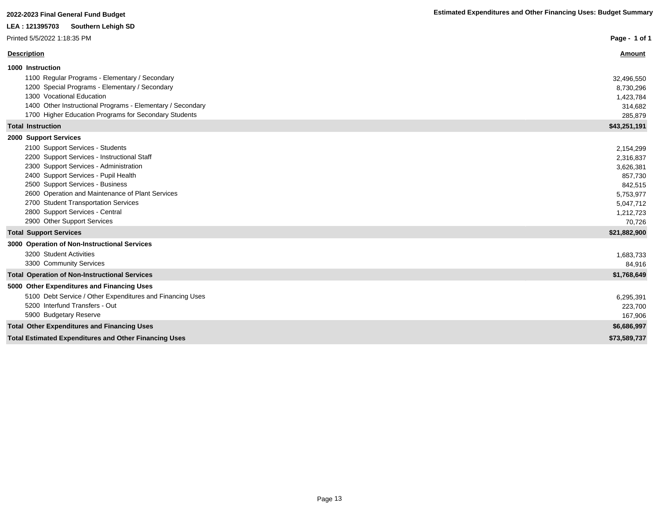| 2022-2023 Final General Fund Budget                                                      | <b>Estimated Expenditures and Other Financing Uses: Budget Summary</b> |
|------------------------------------------------------------------------------------------|------------------------------------------------------------------------|
| LEA: 121395703<br><b>Southern Lehigh SD</b>                                              |                                                                        |
| Printed 5/5/2022 1:18:35 PM                                                              | Page - 1 of 1                                                          |
| <b>Description</b>                                                                       | Amount                                                                 |
| 1000 Instruction                                                                         |                                                                        |
| 1100 Regular Programs - Elementary / Secondary                                           | 32,496,550                                                             |
| 1200 Special Programs - Elementary / Secondary                                           | 8,730,296                                                              |
| 1300 Vocational Education                                                                | 1,423,784                                                              |
| 1400 Other Instructional Programs - Elementary / Secondary                               | 314,682                                                                |
| 1700 Higher Education Programs for Secondary Students                                    | 285,879                                                                |
| <b>Total Instruction</b>                                                                 | \$43,251,191                                                           |
| 2000 Support Services                                                                    |                                                                        |
| 2100 Support Services - Students                                                         | 2,154,299                                                              |
| 2200 Support Services - Instructional Staff                                              | 2,316,837                                                              |
| 2300 Support Services - Administration                                                   | 3,626,381                                                              |
| 2400 Support Services - Pupil Health                                                     | 857,730                                                                |
| 2500 Support Services - Business                                                         | 842,515                                                                |
| 2600 Operation and Maintenance of Plant Services<br>2700 Student Transportation Services | 5,753,977                                                              |
| 2800 Support Services - Central                                                          | 5,047,712<br>1,212,723                                                 |
| 2900 Other Support Services                                                              | 70,726                                                                 |
| <b>Total Support Services</b>                                                            | \$21,882,900                                                           |
| 3000 Operation of Non-Instructional Services                                             |                                                                        |
| 3200 Student Activities                                                                  | 1,683,733                                                              |
| 3300 Community Services                                                                  | 84.916                                                                 |
| <b>Total Operation of Non-Instructional Services</b>                                     | \$1,768,649                                                            |
| 5000 Other Expenditures and Financing Uses                                               |                                                                        |
| 5100 Debt Service / Other Expenditures and Financing Uses                                | 6,295,391                                                              |
| 5200 Interfund Transfers - Out                                                           | 223,700                                                                |
| 5900 Budgetary Reserve                                                                   | 167,906                                                                |
| <b>Total Other Expenditures and Financing Uses</b>                                       | \$6,686,997                                                            |
| <b>Total Estimated Expenditures and Other Financing Uses</b>                             | \$73,589,737                                                           |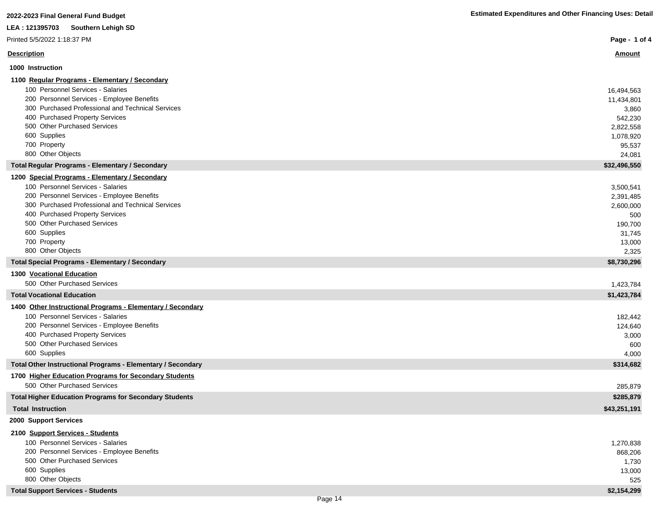| 2022-2023 Final General Fund Budget                                                             | <b>Estimated Expenditures and Other Financing Uses: Detail</b> |
|-------------------------------------------------------------------------------------------------|----------------------------------------------------------------|
| LEA: 121395703<br><b>Southern Lehigh SD</b>                                                     |                                                                |
| Printed 5/5/2022 1:18:37 PM                                                                     | Page - 1 of 4                                                  |
| <b>Description</b>                                                                              | <u>Amount</u>                                                  |
| 1000 Instruction                                                                                |                                                                |
| 1100 Regular Programs - Elementary / Secondary                                                  |                                                                |
| 100 Personnel Services - Salaries                                                               | 16,494,563                                                     |
| 200 Personnel Services - Employee Benefits                                                      | 11,434,801                                                     |
| 300 Purchased Professional and Technical Services                                               | 3,860                                                          |
| 400 Purchased Property Services                                                                 | 542,230                                                        |
| 500 Other Purchased Services                                                                    | 2,822,558                                                      |
| 600 Supplies                                                                                    | 1,078,920                                                      |
| 700 Property                                                                                    | 95,537                                                         |
| 800 Other Objects                                                                               | 24,081                                                         |
| <b>Total Regular Programs - Elementary / Secondary</b>                                          | \$32,496,550                                                   |
| 1200 Special Programs - Elementary / Secondary                                                  |                                                                |
| 100 Personnel Services - Salaries                                                               | 3,500,541                                                      |
| 200 Personnel Services - Employee Benefits<br>300 Purchased Professional and Technical Services | 2,391,485                                                      |
| 400 Purchased Property Services                                                                 | 2,600,000                                                      |
| 500 Other Purchased Services                                                                    | 500<br>190,700                                                 |
| 600 Supplies                                                                                    | 31,745                                                         |
| 700 Property                                                                                    | 13,000                                                         |
| 800 Other Objects                                                                               | 2,325                                                          |
| <b>Total Special Programs - Elementary / Secondary</b>                                          | \$8,730,296                                                    |
| 1300 Vocational Education                                                                       |                                                                |
| 500 Other Purchased Services                                                                    | 1,423,784                                                      |
| <b>Total Vocational Education</b>                                                               | \$1,423,784                                                    |
| 1400 Other Instructional Programs - Elementary / Secondary                                      |                                                                |
| 100 Personnel Services - Salaries                                                               | 182,442                                                        |
| 200 Personnel Services - Employee Benefits                                                      | 124,640                                                        |
| 400 Purchased Property Services                                                                 | 3,000                                                          |
| 500 Other Purchased Services                                                                    | 600                                                            |
| 600 Supplies                                                                                    | 4,000                                                          |
| Total Other Instructional Programs - Elementary / Secondary                                     | \$314,682                                                      |
| 1700 Higher Education Programs for Secondary Students                                           |                                                                |
| 500 Other Purchased Services                                                                    | 285,879                                                        |
| <b>Total Higher Education Programs for Secondary Students</b>                                   | \$285,879                                                      |
| <b>Total Instruction</b>                                                                        | \$43,251,191                                                   |
| 2000 Support Services                                                                           |                                                                |
| 2100 Support Services - Students                                                                |                                                                |
| 100 Personnel Services - Salaries                                                               | 1,270,838                                                      |
| 200 Personnel Services - Employee Benefits                                                      | 868,206                                                        |
| 500 Other Purchased Services                                                                    | 1,730                                                          |
| 600 Supplies                                                                                    | 13,000                                                         |
| 800 Other Objects                                                                               | 525                                                            |
| <b>Total Support Services - Students</b>                                                        | \$2,154,299                                                    |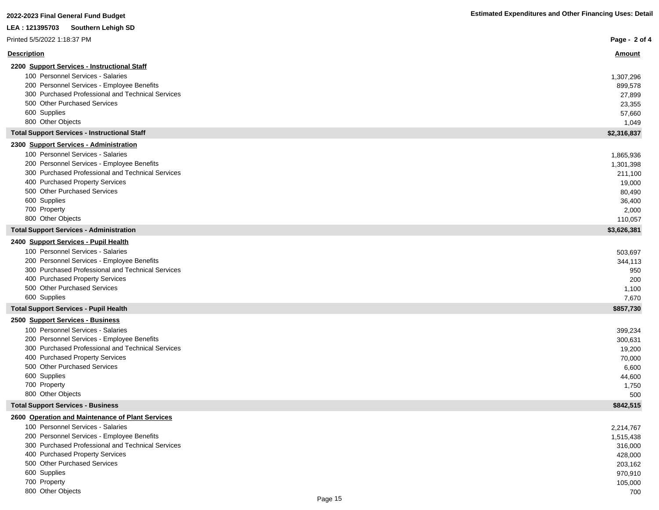| zuzz-zuzu i iliai Gelleiai I uliu Duuyel                                                        |                      |
|-------------------------------------------------------------------------------------------------|----------------------|
| LEA : 121395703<br>Southern Lehigh SD                                                           |                      |
| Printed 5/5/2022 1:18:37 PM                                                                     | Page - 2 of 4        |
| <u>Description</u>                                                                              | <u>Amount</u>        |
| 2200 Support Services - Instructional Staff                                                     |                      |
| 100 Personnel Services - Salaries                                                               | 1,307,296            |
| 200 Personnel Services - Employee Benefits                                                      | 899,578              |
| 300 Purchased Professional and Technical Services                                               | 27,899               |
| 500 Other Purchased Services                                                                    | 23,355               |
| 600 Supplies                                                                                    | 57,660               |
| 800 Other Objects                                                                               | 1,049                |
| <b>Total Support Services - Instructional Staff</b>                                             | \$2,316,837          |
| 2300 Support Services - Administration                                                          |                      |
| 100 Personnel Services - Salaries                                                               | 1,865,936            |
| 200 Personnel Services - Employee Benefits<br>300 Purchased Professional and Technical Services | 1,301,398<br>211,100 |
| 400 Purchased Property Services                                                                 | 19,000               |
| 500 Other Purchased Services                                                                    | 80,490               |
| 600 Supplies                                                                                    | 36,400               |
| 700 Property                                                                                    | 2,000                |
| 800 Other Objects                                                                               | 110,057              |
| <b>Total Support Services - Administration</b>                                                  | \$3,626,381          |
| 2400 Support Services - Pupil Health                                                            |                      |
| 100 Personnel Services - Salaries                                                               | 503,697              |
| 200 Personnel Services - Employee Benefits                                                      | 344,113              |
| 300 Purchased Professional and Technical Services                                               | 950                  |
| 400 Purchased Property Services                                                                 | 200                  |
| 500 Other Purchased Services                                                                    | 1,100                |
| 600 Supplies                                                                                    | 7,670                |
| <b>Total Support Services - Pupil Health</b>                                                    | \$857,730            |
| 2500 Support Services - Business                                                                |                      |
| 100 Personnel Services - Salaries                                                               | 399,234              |
| 200 Personnel Services - Employee Benefits<br>300 Purchased Professional and Technical Services | 300,631              |
| 400 Purchased Property Services                                                                 | 19,200               |
| 500 Other Purchased Services                                                                    | 70,000               |
| 600 Supplies                                                                                    | 6,600<br>44,600      |
| 700 Property                                                                                    | 1,750                |
| 800 Other Objects                                                                               | 500                  |
| <b>Total Support Services - Business</b>                                                        | \$842,515            |
| 2600 Operation and Maintenance of Plant Services                                                |                      |
| 100 Personnel Services - Salaries                                                               | 2,214,767            |
| 200 Personnel Services - Employee Benefits                                                      | 1,515,438            |
| 300 Purchased Professional and Technical Services                                               | 316,000              |
| 400 Purchased Property Services                                                                 | 428,000              |
| 500 Other Purchased Services                                                                    | 203,162              |
| 600 Supplies                                                                                    | 970,910              |
| 700 Property                                                                                    | 105,000              |

800 Other Objects 700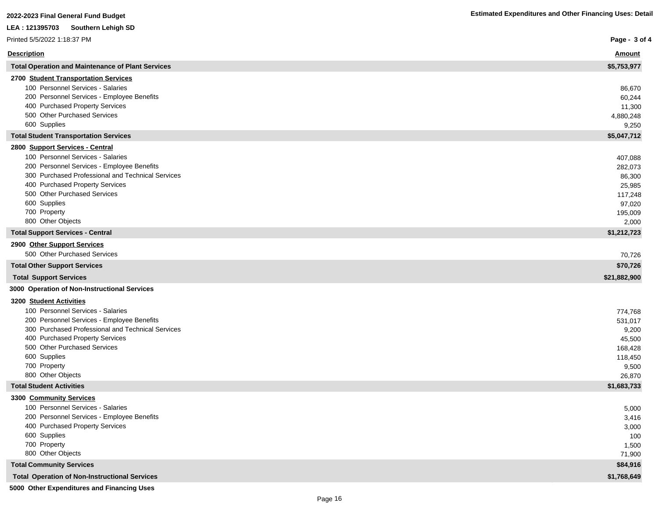| <b>Description</b><br><u>Amount</u><br><b>Total Operation and Maintenance of Plant Services</b><br>\$5,753,977<br>2700 Student Transportation Services<br>100 Personnel Services - Salaries<br>86,670<br>200 Personnel Services - Employee Benefits<br>60,244<br>400 Purchased Property Services<br>11,300<br>500 Other Purchased Services<br>4,880,248<br>600 Supplies<br>9,250<br>\$5,047,712<br><b>Total Student Transportation Services</b><br>2800 Support Services - Central<br>100 Personnel Services - Salaries<br>407,088<br>200 Personnel Services - Employee Benefits<br>282,073<br>300 Purchased Professional and Technical Services<br>86,300<br>400 Purchased Property Services<br>25,985<br>500 Other Purchased Services<br>117,248<br>600 Supplies<br>97,020<br>700 Property<br>195,009<br>800 Other Objects |
|------------------------------------------------------------------------------------------------------------------------------------------------------------------------------------------------------------------------------------------------------------------------------------------------------------------------------------------------------------------------------------------------------------------------------------------------------------------------------------------------------------------------------------------------------------------------------------------------------------------------------------------------------------------------------------------------------------------------------------------------------------------------------------------------------------------------------|
|                                                                                                                                                                                                                                                                                                                                                                                                                                                                                                                                                                                                                                                                                                                                                                                                                              |
|                                                                                                                                                                                                                                                                                                                                                                                                                                                                                                                                                                                                                                                                                                                                                                                                                              |
|                                                                                                                                                                                                                                                                                                                                                                                                                                                                                                                                                                                                                                                                                                                                                                                                                              |
|                                                                                                                                                                                                                                                                                                                                                                                                                                                                                                                                                                                                                                                                                                                                                                                                                              |
|                                                                                                                                                                                                                                                                                                                                                                                                                                                                                                                                                                                                                                                                                                                                                                                                                              |
|                                                                                                                                                                                                                                                                                                                                                                                                                                                                                                                                                                                                                                                                                                                                                                                                                              |
|                                                                                                                                                                                                                                                                                                                                                                                                                                                                                                                                                                                                                                                                                                                                                                                                                              |
|                                                                                                                                                                                                                                                                                                                                                                                                                                                                                                                                                                                                                                                                                                                                                                                                                              |
|                                                                                                                                                                                                                                                                                                                                                                                                                                                                                                                                                                                                                                                                                                                                                                                                                              |
|                                                                                                                                                                                                                                                                                                                                                                                                                                                                                                                                                                                                                                                                                                                                                                                                                              |
|                                                                                                                                                                                                                                                                                                                                                                                                                                                                                                                                                                                                                                                                                                                                                                                                                              |
|                                                                                                                                                                                                                                                                                                                                                                                                                                                                                                                                                                                                                                                                                                                                                                                                                              |
|                                                                                                                                                                                                                                                                                                                                                                                                                                                                                                                                                                                                                                                                                                                                                                                                                              |
|                                                                                                                                                                                                                                                                                                                                                                                                                                                                                                                                                                                                                                                                                                                                                                                                                              |
|                                                                                                                                                                                                                                                                                                                                                                                                                                                                                                                                                                                                                                                                                                                                                                                                                              |
|                                                                                                                                                                                                                                                                                                                                                                                                                                                                                                                                                                                                                                                                                                                                                                                                                              |
|                                                                                                                                                                                                                                                                                                                                                                                                                                                                                                                                                                                                                                                                                                                                                                                                                              |
| 2,000                                                                                                                                                                                                                                                                                                                                                                                                                                                                                                                                                                                                                                                                                                                                                                                                                        |
| \$1,212,723<br><b>Total Support Services - Central</b>                                                                                                                                                                                                                                                                                                                                                                                                                                                                                                                                                                                                                                                                                                                                                                       |
| 2900 Other Support Services<br>500 Other Purchased Services                                                                                                                                                                                                                                                                                                                                                                                                                                                                                                                                                                                                                                                                                                                                                                  |
| 70,726                                                                                                                                                                                                                                                                                                                                                                                                                                                                                                                                                                                                                                                                                                                                                                                                                       |
| \$70,726<br><b>Total Other Support Services</b>                                                                                                                                                                                                                                                                                                                                                                                                                                                                                                                                                                                                                                                                                                                                                                              |
| <b>Total Support Services</b><br>\$21,882,900                                                                                                                                                                                                                                                                                                                                                                                                                                                                                                                                                                                                                                                                                                                                                                                |
| 3000 Operation of Non-Instructional Services                                                                                                                                                                                                                                                                                                                                                                                                                                                                                                                                                                                                                                                                                                                                                                                 |
| 3200 Student Activities                                                                                                                                                                                                                                                                                                                                                                                                                                                                                                                                                                                                                                                                                                                                                                                                      |
| 100 Personnel Services - Salaries<br>774,768                                                                                                                                                                                                                                                                                                                                                                                                                                                                                                                                                                                                                                                                                                                                                                                 |
| 200 Personnel Services - Employee Benefits<br>531,017                                                                                                                                                                                                                                                                                                                                                                                                                                                                                                                                                                                                                                                                                                                                                                        |
| 300 Purchased Professional and Technical Services<br>9,200                                                                                                                                                                                                                                                                                                                                                                                                                                                                                                                                                                                                                                                                                                                                                                   |
| 400 Purchased Property Services<br>45,500                                                                                                                                                                                                                                                                                                                                                                                                                                                                                                                                                                                                                                                                                                                                                                                    |
| 500 Other Purchased Services<br>168,428<br>600 Supplies                                                                                                                                                                                                                                                                                                                                                                                                                                                                                                                                                                                                                                                                                                                                                                      |
| 118,450<br>700 Property                                                                                                                                                                                                                                                                                                                                                                                                                                                                                                                                                                                                                                                                                                                                                                                                      |
| 9,500<br>800 Other Objects<br>26,870                                                                                                                                                                                                                                                                                                                                                                                                                                                                                                                                                                                                                                                                                                                                                                                         |
| \$1,683,733<br><b>Total Student Activities</b>                                                                                                                                                                                                                                                                                                                                                                                                                                                                                                                                                                                                                                                                                                                                                                               |
| 3300 Community Services                                                                                                                                                                                                                                                                                                                                                                                                                                                                                                                                                                                                                                                                                                                                                                                                      |
| 100 Personnel Services - Salaries<br>5,000                                                                                                                                                                                                                                                                                                                                                                                                                                                                                                                                                                                                                                                                                                                                                                                   |
| 200 Personnel Services - Employee Benefits<br>3,416                                                                                                                                                                                                                                                                                                                                                                                                                                                                                                                                                                                                                                                                                                                                                                          |
| 400 Purchased Property Services<br>3,000                                                                                                                                                                                                                                                                                                                                                                                                                                                                                                                                                                                                                                                                                                                                                                                     |
| 600 Supplies<br>100                                                                                                                                                                                                                                                                                                                                                                                                                                                                                                                                                                                                                                                                                                                                                                                                          |
| 700 Property<br>1,500                                                                                                                                                                                                                                                                                                                                                                                                                                                                                                                                                                                                                                                                                                                                                                                                        |
| 800 Other Objects<br>71,900                                                                                                                                                                                                                                                                                                                                                                                                                                                                                                                                                                                                                                                                                                                                                                                                  |
| <b>Total Community Services</b><br>\$84,916                                                                                                                                                                                                                                                                                                                                                                                                                                                                                                                                                                                                                                                                                                                                                                                  |
| \$1,768,649<br><b>Total Operation of Non-Instructional Services</b>                                                                                                                                                                                                                                                                                                                                                                                                                                                                                                                                                                                                                                                                                                                                                          |

**5000 Other Expenditures and Financing Uses**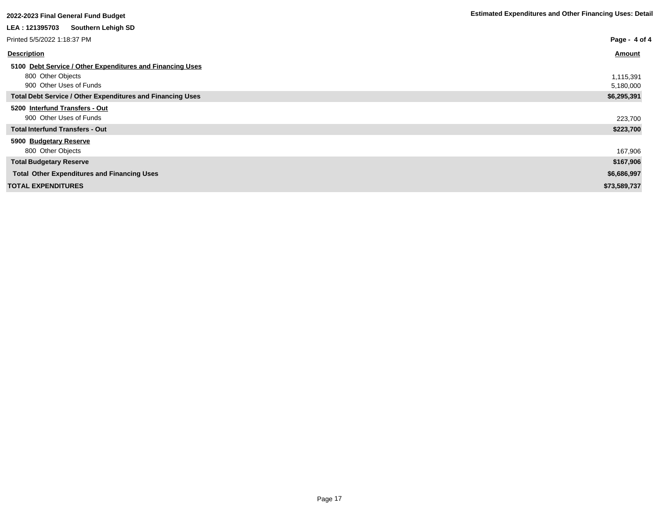| 2022-2023 Final General Fund Budget                               | <b>Estimated Expenditures and Other Financing Oses: Detail</b> |
|-------------------------------------------------------------------|----------------------------------------------------------------|
| Southern Lehigh SD<br>LEA : 121395703                             |                                                                |
| Printed 5/5/2022 1:18:37 PM                                       | Page - 4 of 4                                                  |
| <b>Description</b>                                                | <u>Amount</u>                                                  |
| 5100 Debt Service / Other Expenditures and Financing Uses         |                                                                |
| 800 Other Objects                                                 | 1,115,391                                                      |
| 900 Other Uses of Funds                                           | 5,180,000                                                      |
| <b>Total Debt Service / Other Expenditures and Financing Uses</b> | \$6,295,391                                                    |
| 5200 Interfund Transfers - Out                                    |                                                                |
| 900 Other Uses of Funds                                           | 223,700                                                        |
| <b>Total Interfund Transfers - Out</b>                            | \$223,700                                                      |
| 5900 Budgetary Reserve                                            |                                                                |
| 800 Other Objects                                                 | 167,906                                                        |
| <b>Total Budgetary Reserve</b>                                    | \$167,906                                                      |
| <b>Total Other Expenditures and Financing Uses</b>                | \$6,686,997                                                    |
| <b>TOTAL EXPENDITURES</b>                                         | \$73,589,737                                                   |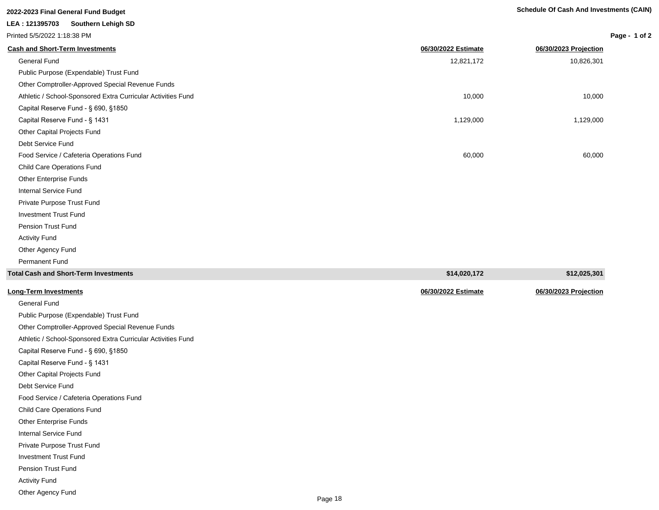# **2022-2023 Final General Fund Budget Schedule Of Cash And Investments (CAIN) LEA : 121395703 Southern Lehigh SD** Printed 5/5/2022 1:18:38 PM

| <b>Cash and Short-Term Investments</b>                       | 06/30/2022 Estimate | 06/30/2023 Projection |
|--------------------------------------------------------------|---------------------|-----------------------|
| General Fund                                                 | 12,821,172          | 10,826,301            |
| Public Purpose (Expendable) Trust Fund                       |                     |                       |
| Other Comptroller-Approved Special Revenue Funds             |                     |                       |
| Athletic / School-Sponsored Extra Curricular Activities Fund | 10,000              | 10,000                |
| Capital Reserve Fund - § 690, §1850                          |                     |                       |
| Capital Reserve Fund - § 1431                                | 1,129,000           | 1,129,000             |
| Other Capital Projects Fund                                  |                     |                       |
| Debt Service Fund                                            |                     |                       |
| Food Service / Cafeteria Operations Fund                     | 60,000              | 60,000                |
| Child Care Operations Fund                                   |                     |                       |
| Other Enterprise Funds                                       |                     |                       |
| Internal Service Fund                                        |                     |                       |
| Private Purpose Trust Fund                                   |                     |                       |
| <b>Investment Trust Fund</b>                                 |                     |                       |
| <b>Pension Trust Fund</b>                                    |                     |                       |
| <b>Activity Fund</b>                                         |                     |                       |
| Other Agency Fund                                            |                     |                       |
| <b>Permanent Fund</b>                                        |                     |                       |
| <b>Total Cash and Short-Term Investments</b>                 | \$14,020,172        | \$12,025,301          |
|                                                              |                     |                       |

| <b>Long-Term Investments</b>                                 | 06/30/2022 Estimate | 06/30/2023 Projection |
|--------------------------------------------------------------|---------------------|-----------------------|
| General Fund                                                 |                     |                       |
| Public Purpose (Expendable) Trust Fund                       |                     |                       |
| Other Comptroller-Approved Special Revenue Funds             |                     |                       |
| Athletic / School-Sponsored Extra Curricular Activities Fund |                     |                       |
| Capital Reserve Fund - § 690, §1850                          |                     |                       |
| Capital Reserve Fund - § 1431                                |                     |                       |
| Other Capital Projects Fund                                  |                     |                       |
| Debt Service Fund                                            |                     |                       |
| Food Service / Cafeteria Operations Fund                     |                     |                       |
| <b>Child Care Operations Fund</b>                            |                     |                       |
| Other Enterprise Funds                                       |                     |                       |
| Internal Service Fund                                        |                     |                       |
| Private Purpose Trust Fund                                   |                     |                       |
| <b>Investment Trust Fund</b>                                 |                     |                       |
| Pension Trust Fund                                           |                     |                       |
| <b>Activity Fund</b>                                         |                     |                       |
| Other Agency Fund                                            |                     |                       |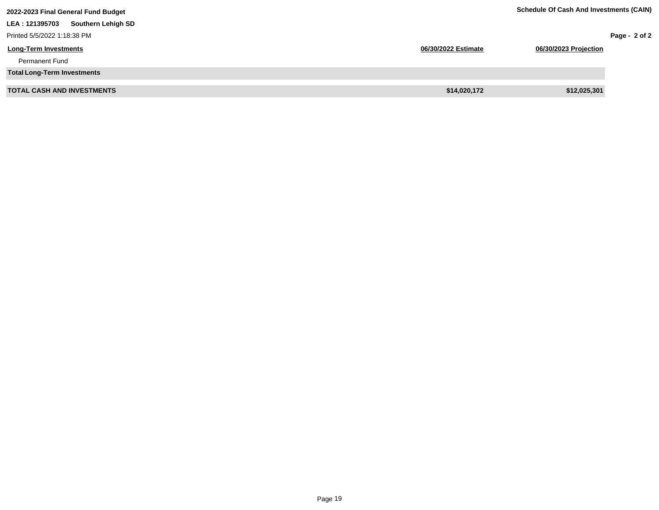| 2022-2023 Final General Fund Budget   | <b>Schedule Of Cash And Investments (CAIN)</b> |                       |               |
|---------------------------------------|------------------------------------------------|-----------------------|---------------|
| Southern Lehigh SD<br>LEA : 121395703 |                                                |                       |               |
| Printed 5/5/2022 1:18:38 PM           |                                                |                       | Page - 2 of 2 |
| <b>Long-Term Investments</b>          | 06/30/2022 Estimate                            | 06/30/2023 Projection |               |
| <b>Permanent Fund</b>                 |                                                |                       |               |
| <b>Total Long-Term Investments</b>    |                                                |                       |               |
| <b>TOTAL CASH AND INVESTMENTS</b>     | \$14,020,172                                   | \$12,025,301          |               |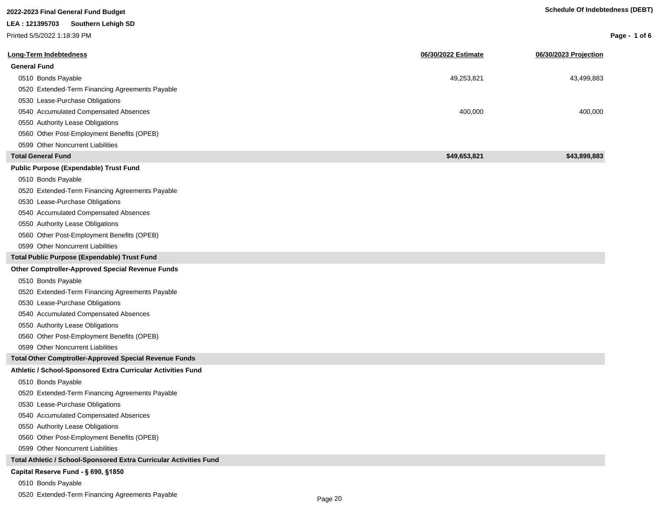| 2022-2023 Final General Fund Budget                                |                     | <b>Schedule Of Indebtedness (DEBT)</b> |               |
|--------------------------------------------------------------------|---------------------|----------------------------------------|---------------|
| LEA: 121395703<br><b>Southern Lehigh SD</b>                        |                     |                                        |               |
| Printed 5/5/2022 1:18:39 PM                                        |                     |                                        | Page - 1 of 6 |
| Long-Term Indebtedness                                             | 06/30/2022 Estimate | 06/30/2023 Projection                  |               |
| <b>General Fund</b>                                                |                     |                                        |               |
|                                                                    |                     |                                        |               |
| 0510 Bonds Payable                                                 | 49,253,821          | 43,499,883                             |               |
| 0520 Extended-Term Financing Agreements Payable                    |                     |                                        |               |
| 0530 Lease-Purchase Obligations                                    |                     |                                        |               |
| 0540 Accumulated Compensated Absences                              | 400,000             | 400,000                                |               |
| 0550 Authority Lease Obligations                                   |                     |                                        |               |
| 0560 Other Post-Employment Benefits (OPEB)                         |                     |                                        |               |
| 0599 Other Noncurrent Liabilities                                  |                     |                                        |               |
| <b>Total General Fund</b>                                          | \$49,653,821        | \$43,899,883                           |               |
| <b>Public Purpose (Expendable) Trust Fund</b>                      |                     |                                        |               |
| 0510 Bonds Payable                                                 |                     |                                        |               |
| 0520 Extended-Term Financing Agreements Payable                    |                     |                                        |               |
| 0530 Lease-Purchase Obligations                                    |                     |                                        |               |
| 0540 Accumulated Compensated Absences                              |                     |                                        |               |
| 0550 Authority Lease Obligations                                   |                     |                                        |               |
| 0560 Other Post-Employment Benefits (OPEB)                         |                     |                                        |               |
| 0599 Other Noncurrent Liabilities                                  |                     |                                        |               |
| Total Public Purpose (Expendable) Trust Fund                       |                     |                                        |               |
| Other Comptroller-Approved Special Revenue Funds                   |                     |                                        |               |
| 0510 Bonds Payable                                                 |                     |                                        |               |
| 0520 Extended-Term Financing Agreements Payable                    |                     |                                        |               |
| 0530 Lease-Purchase Obligations                                    |                     |                                        |               |
| 0540 Accumulated Compensated Absences                              |                     |                                        |               |
| 0550 Authority Lease Obligations                                   |                     |                                        |               |
| 0560 Other Post-Employment Benefits (OPEB)                         |                     |                                        |               |
| 0599 Other Noncurrent Liabilities                                  |                     |                                        |               |
| <b>Total Other Comptroller-Approved Special Revenue Funds</b>      |                     |                                        |               |
| Athletic / School-Sponsored Extra Curricular Activities Fund       |                     |                                        |               |
| 0510 Bonds Payable                                                 |                     |                                        |               |
| 0520 Extended-Term Financing Agreements Payable                    |                     |                                        |               |
| 0530 Lease-Purchase Obligations                                    |                     |                                        |               |
| 0540 Accumulated Compensated Absences                              |                     |                                        |               |
| 0550 Authority Lease Obligations                                   |                     |                                        |               |
| 0560 Other Post-Employment Benefits (OPEB)                         |                     |                                        |               |
| 0599 Other Noncurrent Liabilities                                  |                     |                                        |               |
| Total Athletic / School-Sponsored Extra Curricular Activities Fund |                     |                                        |               |
| Capital Reserve Fund - § 690, §1850                                |                     |                                        |               |
| 0510 Bonds Payable                                                 |                     |                                        |               |

0520 Extended-Term Financing Agreements Payable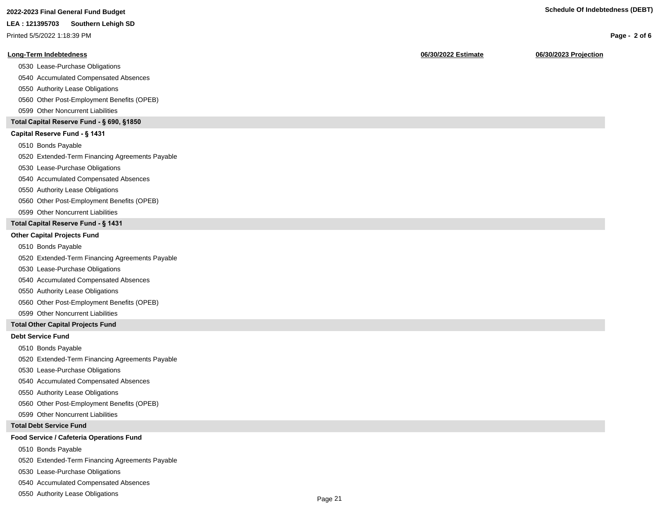| 2022-2023 Final General Fund Budget | <b>Schedule Of Indebtedness (DEBT)</b> |
|-------------------------------------|----------------------------------------|
|                                     |                                        |

|  | 2022-2023 i iliai Octiciai i uliu Duuyci |  |  |
|--|------------------------------------------|--|--|
|  |                                          |  |  |

Printed 5/5/2022 1:18:39 PM

#### **Long-Term Indebtedness 06/30/2022 Estimate 06/30/2023 Projection**

0530 Lease-Purchase Obligations

0540 Accumulated Compensated Absences

0550 Authority Lease Obligations

0560 Other Post-Employment Benefits (OPEB)

0599 Other Noncurrent Liabilities

#### **Total Capital Reserve Fund - § 690, §1850**

#### Capital Reserve Fund - § 1431

0510 Bonds Payable

0520 Extended-Term Financing Agreements Payable

0530 Lease-Purchase Obligations

0540 Accumulated Compensated Absences

#### 0550 Authority Lease Obligations

0560 Other Post-Employment Benefits (OPEB)

0599 Other Noncurrent Liabilities

#### **Total Capital Reserve Fund - § 1431**

#### **Other Capital Projects Fund**

0510 Bonds Payable

0520 Extended-Term Financing Agreements Payable

0530 Lease-Purchase Obligations

0540 Accumulated Compensated Absences

0550 Authority Lease Obligations

0560 Other Post-Employment Benefits (OPEB)

0599 Other Noncurrent Liabilities

#### **Total Other Capital Projects Fund**

#### **Debt Service Fund**

0510 Bonds Payable

0520 Extended-Term Financing Agreements Payable

0530 Lease-Purchase Obligations

0540 Accumulated Compensated Absences

0550 Authority Lease Obligations

0560 Other Post-Employment Benefits (OPEB)

0599 Other Noncurrent Liabilities

#### **Total Debt Service Fund**

#### **Food Service / Cafeteria Operations Fund**

0510 Bonds Payable

0520 Extended-Term Financing Agreements Payable

0530 Lease-Purchase Obligations

0540 Accumulated Compensated Absences

0550 Authority Lease Obligations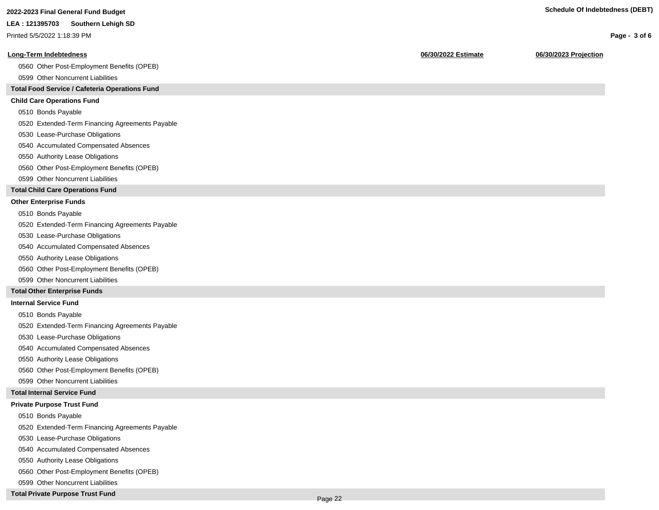**Page - 3 of 6**

#### **LEA : 121395703 Southern Lehigh SD**

Printed 5/5/2022 1:18:39 PM

#### **Long-Term Indebtedness 06/30/2022 Estimate 06/30/2023 Projection**

0560 Other Post-Employment Benefits (OPEB)

0599 Other Noncurrent Liabilities

#### **Total Food Service / Cafeteria Operations Fund**

#### **Child Care Operations Fund**

0510 Bonds Payable

0520 Extended-Term Financing Agreements Payable

- 0530 Lease-Purchase Obligations
- 0540 Accumulated Compensated Absences
- 0550 Authority Lease Obligations
- 0560 Other Post-Employment Benefits (OPEB)
- 0599 Other Noncurrent Liabilities

#### **Total Child Care Operations Fund**

#### **Other Enterprise Funds**

- 0510 Bonds Payable
- 0520 Extended-Term Financing Agreements Payable
- 0530 Lease-Purchase Obligations
- 0540 Accumulated Compensated Absences
- 0550 Authority Lease Obligations
- 0560 Other Post-Employment Benefits (OPEB)
- 0599 Other Noncurrent Liabilities

#### **Total Other Enterprise Funds**

#### **Internal Service Fund**

- 0510 Bonds Payable
- 0520 Extended-Term Financing Agreements Payable
- 0530 Lease-Purchase Obligations
- 0540 Accumulated Compensated Absences
- 0550 Authority Lease Obligations
- 0560 Other Post-Employment Benefits (OPEB)
- 0599 Other Noncurrent Liabilities

#### **Total Internal Service Fund**

#### **Private Purpose Trust Fund**

- 0510 Bonds Payable
- 0520 Extended-Term Financing Agreements Payable
- 0530 Lease-Purchase Obligations
- 0540 Accumulated Compensated Absences
- 0550 Authority Lease Obligations
- 0560 Other Post-Employment Benefits (OPEB)
- 0599 Other Noncurrent Liabilities

#### **Total Private Purpose Trust Fund**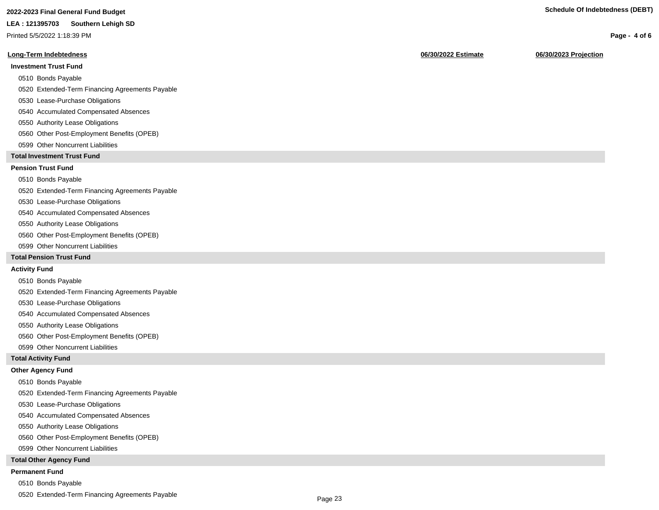## **2022-2023 Final General Fund Budget Schedule Of Indebtedness (DEBT)**

#### **LEA : 121395703 Southern Lehigh SD**

Printed 5/5/2022 1:18:39 PM

#### **Long-Term Indebtedness 06/30/2022 Estimate 06/30/2023 Projection**

#### **Investment Trust Fund**

- 0510 Bonds Payable
- 0520 Extended-Term Financing Agreements Payable
- 0530 Lease-Purchase Obligations
- 0540 Accumulated Compensated Absences
- 0550 Authority Lease Obligations
- 0560 Other Post-Employment Benefits (OPEB)
- 0599 Other Noncurrent Liabilities

#### **Total Investment Trust Fund**

#### **Pension Trust Fund**

#### 0510 Bonds Payable

- 0520 Extended-Term Financing Agreements Payable
- 0530 Lease-Purchase Obligations
- 0540 Accumulated Compensated Absences
- 0550 Authority Lease Obligations
- 0560 Other Post-Employment Benefits (OPEB)
- 0599 Other Noncurrent Liabilities

#### **Total Pension Trust Fund**

#### **Activity Fund**

- 0510 Bonds Payable
- 0520 Extended-Term Financing Agreements Payable
- 0530 Lease-Purchase Obligations
- 0540 Accumulated Compensated Absences
- 0550 Authority Lease Obligations
- 0560 Other Post-Employment Benefits (OPEB)
- 0599 Other Noncurrent Liabilities

#### **Total Activity Fund**

#### **Other Agency Fund**

- 0510 Bonds Payable
- 0520 Extended-Term Financing Agreements Payable
- 0530 Lease-Purchase Obligations
- 0540 Accumulated Compensated Absences
- 0550 Authority Lease Obligations
- 0560 Other Post-Employment Benefits (OPEB)
- 0599 Other Noncurrent Liabilities

#### **Total Other Agency Fund**

#### **Permanent Fund**

- 0510 Bonds Payable
- 0520 Extended-Term Financing Agreements Payable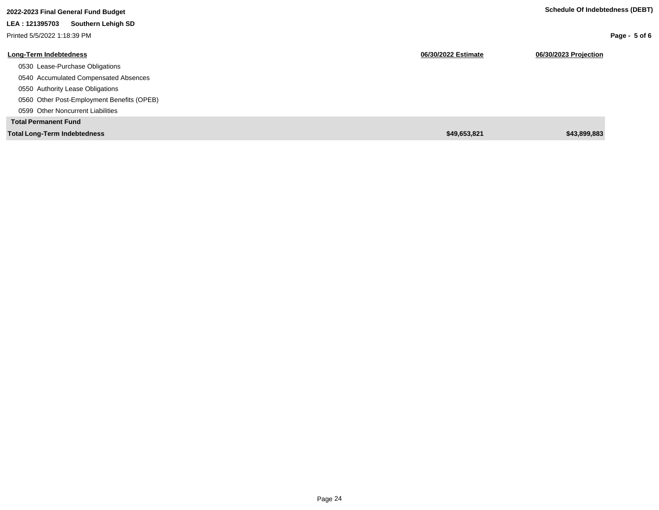| 2022-2023 Final General Fund Budget        |                     | Schedule Of Indebtedness (DEBT) |
|--------------------------------------------|---------------------|---------------------------------|
| Southern Lehigh SD<br>LEA: 121395703       |                     |                                 |
| Printed 5/5/2022 1:18:39 PM                |                     | Page - $5$ of 6                 |
| <b>Long-Term Indebtedness</b>              | 06/30/2022 Estimate | 06/30/2023 Projection           |
| 0530 Lease-Purchase Obligations            |                     |                                 |
| 0540 Accumulated Compensated Absences      |                     |                                 |
| 0550 Authority Lease Obligations           |                     |                                 |
| 0560 Other Post-Employment Benefits (OPEB) |                     |                                 |
| 0599 Other Noncurrent Liabilities          |                     |                                 |
| <b>Total Permanent Fund</b>                |                     |                                 |
| <b>Total Long-Term Indebtedness</b>        | \$49.653.821        | \$43,899,883                    |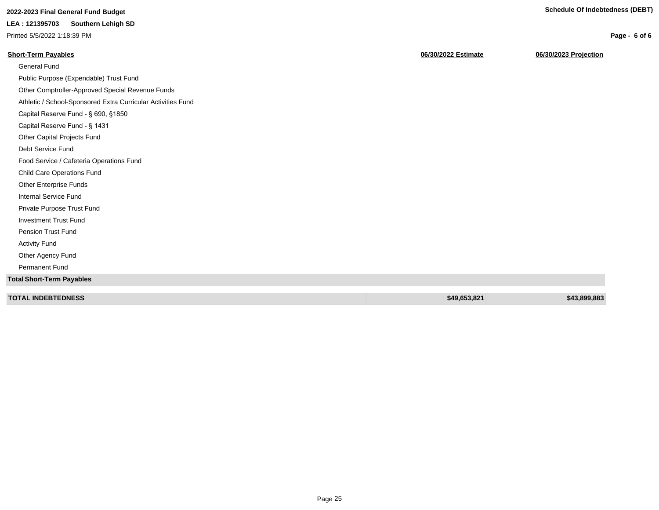**Page - 6 of 6**

# **2022-2023 Final General Fund Budget Schedule Of Indebtedness (DEBT)**

#### **LEA : 121395703 Southern Lehigh SD**

Printed 5/5/2022 1:18:39 PM

| <b>Short-Term Payables</b>                                   | 06/30/2022 Estimate | 06/30/2023 Projection |
|--------------------------------------------------------------|---------------------|-----------------------|
| General Fund                                                 |                     |                       |
| Public Purpose (Expendable) Trust Fund                       |                     |                       |
| Other Comptroller-Approved Special Revenue Funds             |                     |                       |
| Athletic / School-Sponsored Extra Curricular Activities Fund |                     |                       |
| Capital Reserve Fund - § 690, §1850                          |                     |                       |
| Capital Reserve Fund - § 1431                                |                     |                       |
| Other Capital Projects Fund                                  |                     |                       |
| Debt Service Fund                                            |                     |                       |
| Food Service / Cafeteria Operations Fund                     |                     |                       |
| <b>Child Care Operations Fund</b>                            |                     |                       |
| Other Enterprise Funds                                       |                     |                       |
| Internal Service Fund                                        |                     |                       |
| Private Purpose Trust Fund                                   |                     |                       |
| <b>Investment Trust Fund</b>                                 |                     |                       |
| <b>Pension Trust Fund</b>                                    |                     |                       |
| <b>Activity Fund</b>                                         |                     |                       |
| Other Agency Fund                                            |                     |                       |
| Permanent Fund                                               |                     |                       |
| <b>Total Short-Term Payables</b>                             |                     |                       |
| <b>TOTAL INDEBTEDNESS</b>                                    | \$49,653,821        | \$43,899,883          |